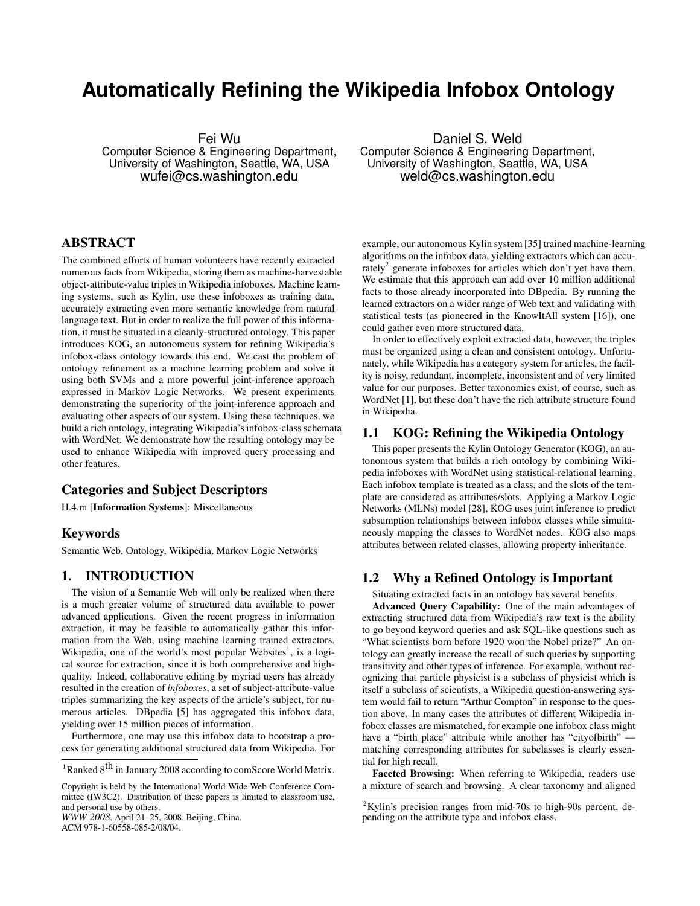# **Automatically Refining the Wikipedia Infobox Ontology**

Fei Wu Computer Science & Engineering Department, University of Washington, Seattle, WA, USA wufei@cs.washington.edu

# ABSTRACT

The combined efforts of human volunteers have recently extracted numerous facts from Wikipedia, storing them as machine-harvestable object-attribute-value triples in Wikipedia infoboxes. Machine learning systems, such as Kylin, use these infoboxes as training data, accurately extracting even more semantic knowledge from natural language text. But in order to realize the full power of this information, it must be situated in a cleanly-structured ontology. This paper introduces KOG, an autonomous system for refining Wikipedia's infobox-class ontology towards this end. We cast the problem of ontology refinement as a machine learning problem and solve it using both SVMs and a more powerful joint-inference approach expressed in Markov Logic Networks. We present experiments demonstrating the superiority of the joint-inference approach and evaluating other aspects of our system. Using these techniques, we build a rich ontology, integrating Wikipedia's infobox-class schemata with WordNet. We demonstrate how the resulting ontology may be used to enhance Wikipedia with improved query processing and other features.

# Categories and Subject Descriptors

H.4.m [Information Systems]: Miscellaneous

# Keywords

Semantic Web, Ontology, Wikipedia, Markov Logic Networks

### 1. INTRODUCTION

The vision of a Semantic Web will only be realized when there is a much greater volume of structured data available to power advanced applications. Given the recent progress in information extraction, it may be feasible to automatically gather this information from the Web, using machine learning trained extractors. Wikipedia, one of the world's most popular Websites<sup>1</sup>, is a logical source for extraction, since it is both comprehensive and highquality. Indeed, collaborative editing by myriad users has already resulted in the creation of *infoboxes*, a set of subject-attribute-value triples summarizing the key aspects of the article's subject, for numerous articles. DBpedia [5] has aggregated this infobox data, yielding over 15 million pieces of information.

Furthermore, one may use this infobox data to bootstrap a process for generating additional structured data from Wikipedia. For

Copyright is held by the International World Wide Web Conference Committee (IW3C2). Distribution of these papers is limited to classroom use, and personal use by others.

*WWW 2008*, April 21–25, 2008, Beijing, China.

ACM 978-1-60558-085-2/08/04.

Daniel S. Weld Computer Science & Engineering Department, University of Washington, Seattle, WA, USA weld@cs.washington.edu

example, our autonomous Kylin system [35] trained machine-learning algorithms on the infobox data, yielding extractors which can accurately<sup>2</sup> generate infoboxes for articles which don't yet have them. We estimate that this approach can add over 10 million additional facts to those already incorporated into DBpedia. By running the learned extractors on a wider range of Web text and validating with statistical tests (as pioneered in the KnowItAll system [16]), one could gather even more structured data.

In order to effectively exploit extracted data, however, the triples must be organized using a clean and consistent ontology. Unfortunately, while Wikipedia has a category system for articles, the facility is noisy, redundant, incomplete, inconsistent and of very limited value for our purposes. Better taxonomies exist, of course, such as WordNet [1], but these don't have the rich attribute structure found in Wikipedia.

#### 1.1 KOG: Refining the Wikipedia Ontology

This paper presents the Kylin Ontology Generator (KOG), an autonomous system that builds a rich ontology by combining Wikipedia infoboxes with WordNet using statistical-relational learning. Each infobox template is treated as a class, and the slots of the template are considered as attributes/slots. Applying a Markov Logic Networks (MLNs) model [28], KOG uses joint inference to predict subsumption relationships between infobox classes while simultaneously mapping the classes to WordNet nodes. KOG also maps attributes between related classes, allowing property inheritance.

## 1.2 Why a Refined Ontology is Important

Situating extracted facts in an ontology has several benefits. Advanced Query Capability: One of the main advantages of extracting structured data from Wikipedia's raw text is the ability to go beyond keyword queries and ask SQL-like questions such as "What scientists born before 1920 won the Nobel prize?" An ontology can greatly increase the recall of such queries by supporting transitivity and other types of inference. For example, without recognizing that particle physicist is a subclass of physicist which is itself a subclass of scientists, a Wikipedia question-answering system would fail to return "Arthur Compton" in response to the question above. In many cases the attributes of different Wikipedia infobox classes are mismatched, for example one infobox class might have a "birth place" attribute while another has "cityofbirth" matching corresponding attributes for subclasses is clearly essential for high recall.

Faceted Browsing: When referring to Wikipedia, readers use a mixture of search and browsing. A clear taxonomy and aligned

<sup>&</sup>lt;sup>1</sup> Ranked  $8^{\text{th}}$  in January 2008 according to comScore World Metrix.

 $2$ Kylin's precision ranges from mid-70s to high-90s percent, depending on the attribute type and infobox class.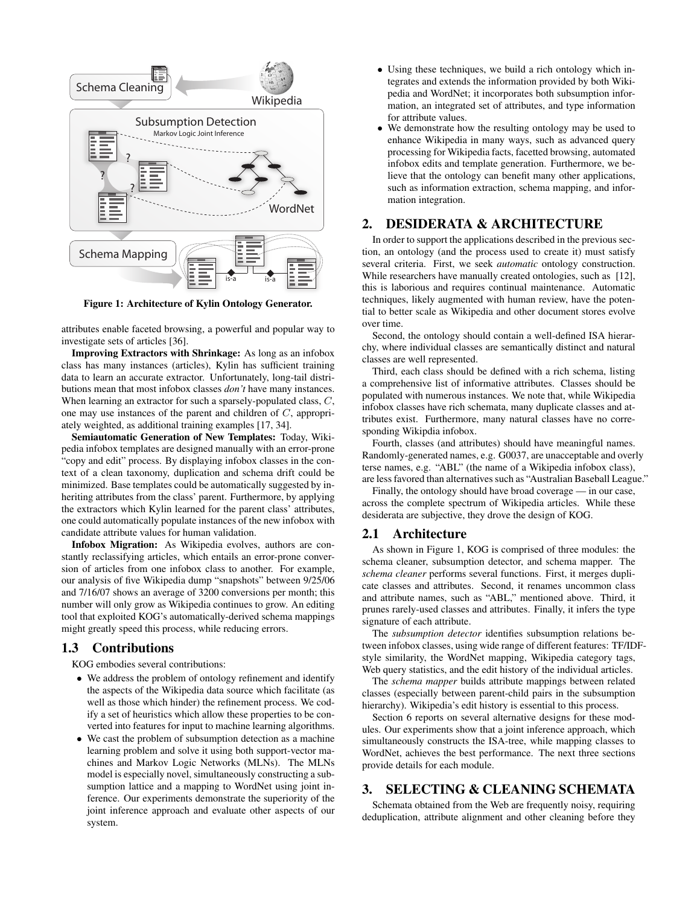

Figure 1: Architecture of Kylin Ontology Generator.

attributes enable faceted browsing, a powerful and popular way to investigate sets of articles [36].

Improving Extractors with Shrinkage: As long as an infobox class has many instances (articles), Kylin has sufficient training data to learn an accurate extractor. Unfortunately, long-tail distributions mean that most infobox classes *don't* have many instances. When learning an extractor for such a sparsely-populated class, C, one may use instances of the parent and children of C, appropriately weighted, as additional training examples [17, 34].

Semiautomatic Generation of New Templates: Today, Wikipedia infobox templates are designed manually with an error-prone "copy and edit" process. By displaying infobox classes in the context of a clean taxonomy, duplication and schema drift could be minimized. Base templates could be automatically suggested by inheriting attributes from the class' parent. Furthermore, by applying the extractors which Kylin learned for the parent class' attributes, one could automatically populate instances of the new infobox with candidate attribute values for human validation.

Infobox Migration: As Wikipedia evolves, authors are constantly reclassifying articles, which entails an error-prone conversion of articles from one infobox class to another. For example, our analysis of five Wikipedia dump "snapshots" between 9/25/06 and 7/16/07 shows an average of 3200 conversions per month; this number will only grow as Wikipedia continues to grow. An editing tool that exploited KOG's automatically-derived schema mappings might greatly speed this process, while reducing errors.

### 1.3 Contributions

KOG embodies several contributions:

- We address the problem of ontology refinement and identify the aspects of the Wikipedia data source which facilitate (as well as those which hinder) the refinement process. We codify a set of heuristics which allow these properties to be converted into features for input to machine learning algorithms.
- We cast the problem of subsumption detection as a machine learning problem and solve it using both support-vector machines and Markov Logic Networks (MLNs). The MLNs model is especially novel, simultaneously constructing a subsumption lattice and a mapping to WordNet using joint inference. Our experiments demonstrate the superiority of the joint inference approach and evaluate other aspects of our system.
- Using these techniques, we build a rich ontology which integrates and extends the information provided by both Wikipedia and WordNet; it incorporates both subsumption information, an integrated set of attributes, and type information for attribute values.
- We demonstrate how the resulting ontology may be used to enhance Wikipedia in many ways, such as advanced query processing for Wikipedia facts, facetted browsing, automated infobox edits and template generation. Furthermore, we believe that the ontology can benefit many other applications, such as information extraction, schema mapping, and information integration.

## 2. DESIDERATA & ARCHITECTURE

In order to support the applications described in the previous section, an ontology (and the process used to create it) must satisfy several criteria. First, we seek *automatic* ontology construction. While researchers have manually created ontologies, such as [12], this is laborious and requires continual maintenance. Automatic techniques, likely augmented with human review, have the potential to better scale as Wikipedia and other document stores evolve over time.

Second, the ontology should contain a well-defined ISA hierarchy, where individual classes are semantically distinct and natural classes are well represented.

Third, each class should be defined with a rich schema, listing a comprehensive list of informative attributes. Classes should be populated with numerous instances. We note that, while Wikipedia infobox classes have rich schemata, many duplicate classes and attributes exist. Furthermore, many natural classes have no corresponding Wikipdia infobox.

Fourth, classes (and attributes) should have meaningful names. Randomly-generated names, e.g. G0037, are unacceptable and overly terse names, e.g. "ABL" (the name of a Wikipedia infobox class), are less favored than alternatives such as "Australian Baseball League."

Finally, the ontology should have broad coverage — in our case, across the complete spectrum of Wikipedia articles. While these desiderata are subjective, they drove the design of KOG.

### 2.1 Architecture

As shown in Figure 1, KOG is comprised of three modules: the schema cleaner, subsumption detector, and schema mapper. The *schema cleaner* performs several functions. First, it merges duplicate classes and attributes. Second, it renames uncommon class and attribute names, such as "ABL," mentioned above. Third, it prunes rarely-used classes and attributes. Finally, it infers the type signature of each attribute.

The *subsumption detector* identifies subsumption relations between infobox classes, using wide range of different features: TF/IDFstyle similarity, the WordNet mapping, Wikipedia category tags, Web query statistics, and the edit history of the individual articles.

The *schema mapper* builds attribute mappings between related classes (especially between parent-child pairs in the subsumption hierarchy). Wikipedia's edit history is essential to this process.

Section 6 reports on several alternative designs for these modules. Our experiments show that a joint inference approach, which simultaneously constructs the ISA-tree, while mapping classes to WordNet, achieves the best performance. The next three sections provide details for each module.

### 3. SELECTING & CLEANING SCHEMATA

Schemata obtained from the Web are frequently noisy, requiring deduplication, attribute alignment and other cleaning before they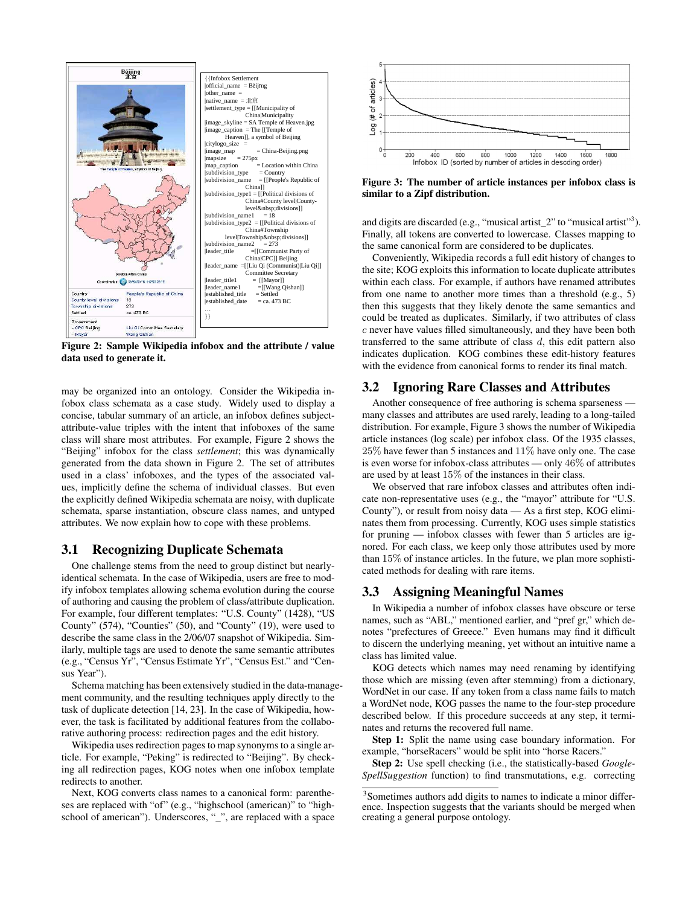

Figure 2: Sample Wikipedia infobox and the attribute / value data used to generate it.

may be organized into an ontology. Consider the Wikipedia infobox class schemata as a case study. Widely used to display a concise, tabular summary of an article, an infobox defines subjectattribute-value triples with the intent that infoboxes of the same class will share most attributes. For example, Figure 2 shows the "Beijing" infobox for the class *settlement*; this was dynamically generated from the data shown in Figure 2. The set of attributes used in a class' infoboxes, and the types of the associated values, implicitly define the schema of individual classes. But even the explicitly defined Wikipedia schemata are noisy, with duplicate schemata, sparse instantiation, obscure class names, and untyped attributes. We now explain how to cope with these problems.

## 3.1 Recognizing Duplicate Schemata

One challenge stems from the need to group distinct but nearlyidentical schemata. In the case of Wikipedia, users are free to modify infobox templates allowing schema evolution during the course of authoring and causing the problem of class/attribute duplication. For example, four different templates: "U.S. County" (1428), "US County" (574), "Counties" (50), and "County" (19), were used to describe the same class in the 2/06/07 snapshot of Wikipedia. Similarly, multiple tags are used to denote the same semantic attributes (e.g., "Census Yr", "Census Estimate Yr", "Census Est." and "Census Year").

Schema matching has been extensively studied in the data-management community, and the resulting techniques apply directly to the task of duplicate detection [14, 23]. In the case of Wikipedia, however, the task is facilitated by additional features from the collaborative authoring process: redirection pages and the edit history.

Wikipedia uses redirection pages to map synonyms to a single article. For example, "Peking" is redirected to "Beijing". By checking all redirection pages, KOG notes when one infobox template redirects to another.

Next, KOG converts class names to a canonical form: parentheses are replaced with "of" (e.g., "highschool (american)" to "highschool of american"). Underscores, "\_", are replaced with a space



Figure 3: The number of article instances per infobox class is similar to a Zipf distribution.

and digits are discarded (e.g., "musical artist\_2" to "musical artist"<sup>3</sup>). Finally, all tokens are converted to lowercase. Classes mapping to the same canonical form are considered to be duplicates.

Conveniently, Wikipedia records a full edit history of changes to the site; KOG exploits this information to locate duplicate attributes within each class. For example, if authors have renamed attributes from one name to another more times than a threshold (e.g., 5) then this suggests that they likely denote the same semantics and could be treated as duplicates. Similarly, if two attributes of class c never have values filled simultaneously, and they have been both transferred to the same attribute of class  $d$ , this edit pattern also indicates duplication. KOG combines these edit-history features with the evidence from canonical forms to render its final match.

#### 3.2 Ignoring Rare Classes and Attributes

Another consequence of free authoring is schema sparseness many classes and attributes are used rarely, leading to a long-tailed distribution. For example, Figure 3 shows the number of Wikipedia article instances (log scale) per infobox class. Of the 1935 classes, 25% have fewer than 5 instances and 11% have only one. The case is even worse for infobox-class attributes — only 46% of attributes are used by at least 15% of the instances in their class.

We observed that rare infobox classes and attributes often indicate non-representative uses (e.g., the "mayor" attribute for "U.S. County"), or result from noisy data — As a first step, KOG eliminates them from processing. Currently, KOG uses simple statistics for pruning — infobox classes with fewer than 5 articles are ignored. For each class, we keep only those attributes used by more than 15% of instance articles. In the future, we plan more sophisticated methods for dealing with rare items.

## 3.3 Assigning Meaningful Names

In Wikipedia a number of infobox classes have obscure or terse names, such as "ABL," mentioned earlier, and "pref gr," which denotes "prefectures of Greece." Even humans may find it difficult to discern the underlying meaning, yet without an intuitive name a class has limited value.

KOG detects which names may need renaming by identifying those which are missing (even after stemming) from a dictionary, WordNet in our case. If any token from a class name fails to match a WordNet node, KOG passes the name to the four-step procedure described below. If this procedure succeeds at any step, it terminates and returns the recovered full name.

Step 1: Split the name using case boundary information. For example, "horseRacers" would be split into "horse Racers."

Step 2: Use spell checking (i.e., the statistically-based *Google-SpellSuggestion* function) to find transmutations, e.g. correcting

<sup>&</sup>lt;sup>3</sup>Sometimes authors add digits to names to indicate a minor difference. Inspection suggests that the variants should be merged when creating a general purpose ontology.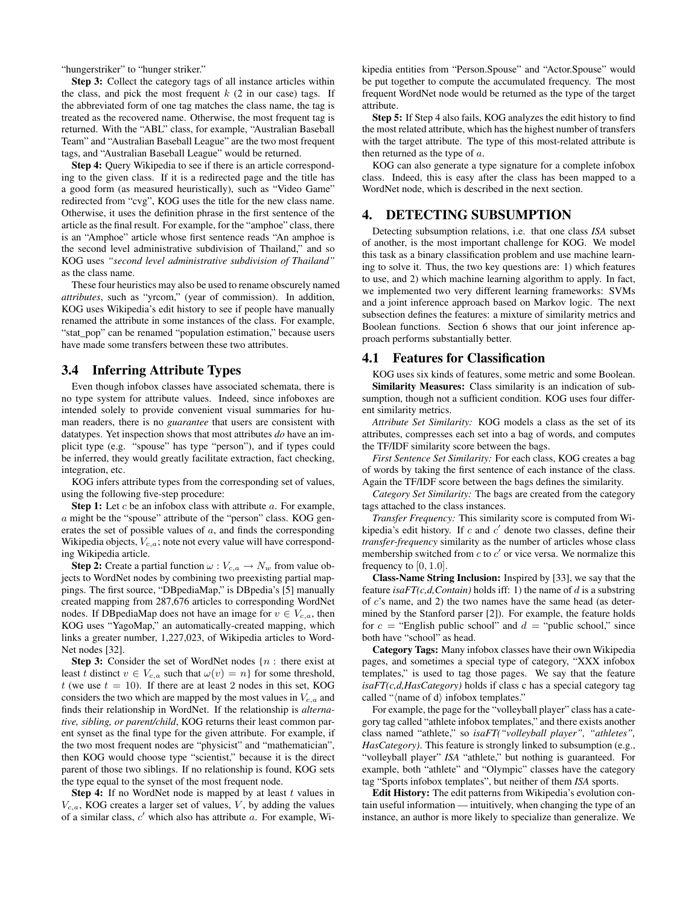"hungerstriker" to "hunger striker."

Step 3: Collect the category tags of all instance articles within the class, and pick the most frequent  $k$  (2 in our case) tags. If the abbreviated form of one tag matches the class name, the tag is treated as the recovered name. Otherwise, the most frequent tag is returned. With the "ABL" class, for example, "Australian Baseball Team" and "Australian Baseball League" are the two most frequent tags, and "Australian Baseball League" would be returned.

Step 4: Query Wikipedia to see if there is an article corresponding to the given class. If it is a redirected page and the title has a good form (as measured heuristically), such as "Video Game" redirected from "cvg", KOG uses the title for the new class name. Otherwise, it uses the definition phrase in the first sentence of the article as the final result. For example, for the "amphoe" class, there is an "Amphoe" article whose first sentence reads "An amphoe is the second level administrative subdivision of Thailand," and so KOG uses *"second level administrative subdivision of Thailand"* as the class name.

These four heuristics may also be used to rename obscurely named *attributes*, such as "yrcom," (year of commission). In addition, KOG uses Wikipedia's edit history to see if people have manually renamed the attribute in some instances of the class. For example, "stat\_pop" can be renamed "population estimation," because users have made some transfers between these two attributes.

## 3.4 Inferring Attribute Types

Even though infobox classes have associated schemata, there is no type system for attribute values. Indeed, since infoboxes are intended solely to provide convenient visual summaries for human readers, there is no *guarantee* that users are consistent with datatypes. Yet inspection shows that most attributes *do* have an implicit type (e.g. "spouse" has type "person"), and if types could be inferred, they would greatly facilitate extraction, fact checking, integration, etc.

KOG infers attribute types from the corresponding set of values, using the following five-step procedure:

**Step 1:** Let c be an infobox class with attribute  $a$ . For example, a might be the "spouse" attribute of the "person" class. KOG generates the set of possible values of a, and finds the corresponding Wikipedia objects,  $V_{c,a}$ ; note not every value will have corresponding Wikipedia article.

**Step 2:** Create a partial function  $\omega : V_{c,a} \to N_w$  from value objects to WordNet nodes by combining two preexisting partial mappings. The first source, "DBpediaMap," is DBpedia's [5] manually created mapping from 287,676 articles to corresponding WordNet nodes. If DB pediaMap does not have an image for  $v \in V_{c,a}$ , then KOG uses "YagoMap," an automatically-created mapping, which links a greater number, 1,227,023, of Wikipedia articles to Word-Net nodes [32].

**Step 3:** Consider the set of WordNet nodes  $\{n :$  there exist at least t distinct  $v \in V_{c,a}$  such that  $\omega(v) = n$  for some threshold, t (we use  $t = 10$ ). If there are at least 2 nodes in this set, KOG considers the two which are mapped by the most values in  $V_{c,a}$  and finds their relationship in WordNet. If the relationship is *alternative, sibling, or parent/child*, KOG returns their least common parent synset as the final type for the given attribute. For example, if the two most frequent nodes are "physicist" and "mathematician", then KOG would choose type "scientist," because it is the direct parent of those two siblings. If no relationship is found, KOG sets the type equal to the synset of the most frequent node.

**Step 4:** If no WordNet node is mapped by at least  $t$  values in  $V_{c,a}$ , KOG creates a larger set of values, V, by adding the values of a similar class,  $c'$  which also has attribute  $a$ . For example, Wikipedia entities from "Person.Spouse" and "Actor.Spouse" would be put together to compute the accumulated frequency. The most frequent WordNet node would be returned as the type of the target attribute.

Step 5: If Step 4 also fails, KOG analyzes the edit history to find the most related attribute, which has the highest number of transfers with the target attribute. The type of this most-related attribute is then returned as the type of  $a$ .

KOG can also generate a type signature for a complete infobox class. Indeed, this is easy after the class has been mapped to a WordNet node, which is described in the next section.

# 4. DETECTING SUBSUMPTION

Detecting subsumption relations, i.e. that one class *ISA* subset of another, is the most important challenge for KOG. We model this task as a binary classification problem and use machine learning to solve it. Thus, the two key questions are: 1) which features to use, and 2) which machine learning algorithm to apply. In fact, we implemented two very different learning frameworks: SVMs and a joint inference approach based on Markov logic. The next subsection defines the features: a mixture of similarity metrics and Boolean functions. Section 6 shows that our joint inference approach performs substantially better.

#### 4.1 Features for Classification

KOG uses six kinds of features, some metric and some Boolean. Similarity Measures: Class similarity is an indication of subsumption, though not a sufficient condition. KOG uses four different similarity metrics.

*Attribute Set Similarity:* KOG models a class as the set of its attributes, compresses each set into a bag of words, and computes the TF/IDF similarity score between the bags.

*First Sentence Set Similarity:* For each class, KOG creates a bag of words by taking the first sentence of each instance of the class. Again the TF/IDF score between the bags defines the similarity.

*Category Set Similarity:* The bags are created from the category tags attached to the class instances.

*Transfer Frequency:* This similarity score is computed from Wikipedia's edit history. If  $c$  and  $c'$  denote two classes, define their *transfer-frequency* similarity as the number of articles whose class membership switched from  $c$  to  $c'$  or vice versa. We normalize this frequency to  $[0, 1.0]$ .

Class-Name String Inclusion: Inspired by [33], we say that the feature *isaFT(c,d,Contain)* holds iff: 1) the name of d is a substring of c's name, and 2) the two names have the same head (as determined by the Stanford parser [2]). For example, the feature holds for  $c =$  "English public school" and  $d =$  "public school," since both have "school" as head.

Category Tags: Many infobox classes have their own Wikipedia pages, and sometimes a special type of category, "XXX infobox templates," is used to tag those pages. We say that the feature *isaFT(c,d,HasCategory)* holds if class c has a special category tag called " $\langle$ name of d $\rangle$  infobox templates."

For example, the page for the "volleyball player" class has a category tag called "athlete infobox templates," and there exists another class named "athlete," so *isaFT("volleyball player", "athletes", HasCategory)*. This feature is strongly linked to subsumption (e.g., "volleyball player" *ISA* "athlete," but nothing is guaranteed. For example, both "athlete" and "Olympic" classes have the category tag "Sports infobox templates", but neither of them *ISA* sports.

Edit History: The edit patterns from Wikipedia's evolution contain useful information — intuitively, when changing the type of an instance, an author is more likely to specialize than generalize. We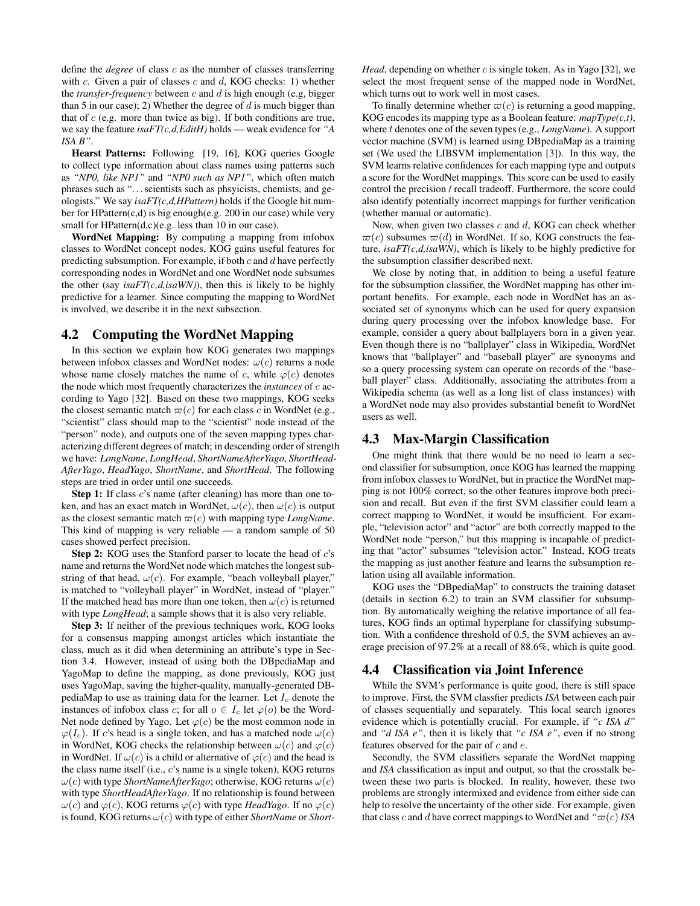define the *degree* of class c as the number of classes transferring with c. Given a pair of classes c and  $d$ , KOG checks: 1) whether the *transfer-frequency* between  $c$  and  $d$  is high enough (e.g, bigger than 5 in our case); 2) Whether the degree of  $d$  is much bigger than that of  $c$  (e.g. more than twice as big). If both conditions are true, we say the feature *isaFT(c,d,EditH)* holds — weak evidence for *"A ISA B"*.

Hearst Patterns: Following [19, 16], KOG queries Google to collect type information about class names using patterns such as *"NP0, like NP1"* and *"NP0 such as NP1"*, which often match phrases such as ". . . scientists such as phsyicists, chemists, and geologists." We say *isaFT(c,d,HPattern)* holds if the Google hit number for HPattern(c,d) is big enough(e.g. 200 in our case) while very small for HPattern(d,c)(e.g. less than 10 in our case).

WordNet Mapping: By computing a mapping from infobox classes to WordNet concept nodes, KOG gains useful features for predicting subsumption. For example, if both  $c$  and  $d$  have perfectly corresponding nodes in WordNet and one WordNet node subsumes the other (say  $isaFT(c,d,isaWN)$ ), then this is likely to be highly predictive for a learner. Since computing the mapping to WordNet is involved, we describe it in the next subsection.

# 4.2 Computing the WordNet Mapping

In this section we explain how KOG generates two mappings between infobox classes and WordNet nodes:  $\omega(c)$  returns a node whose name closely matches the name of c, while  $\varphi(c)$  denotes the node which most frequently characterizes the *instances* of c according to Yago [32]. Based on these two mappings, KOG seeks the closest semantic match  $\varpi(c)$  for each class c in WordNet (e.g., "scientist" class should map to the "scientist" node instead of the "person" node), and outputs one of the seven mapping types characterizing different degrees of match; in descending order of strength we have: *LongName*, *LongHead*, *ShortNameAfterYago*, *ShortHead-AfterYago*, *HeadYago*, *ShortName*, and *ShortHead*. The following steps are tried in order until one succeeds.

**Step 1:** If class  $c$ 's name (after cleaning) has more than one token, and has an exact match in WordNet,  $\omega(c)$ , then  $\omega(c)$  is output as the closest semantic match  $\varpi(c)$  with mapping type *LongName*. This kind of mapping is very reliable — a random sample of 50 cases showed perfect precision.

Step 2: KOG uses the Stanford parser to locate the head of  $c$ 's name and returns the WordNet node which matches the longest substring of that head,  $\omega(c)$ . For example, "beach volleyball player," is matched to "volleyball player" in WordNet, instead of "player." If the matched head has more than one token, then  $\omega(c)$  is returned with type *LongHead*; a sample shows that it is also very reliable.

Step 3: If neither of the previous techniques work, KOG looks for a consensus mapping amongst articles which instantiate the class, much as it did when determining an attribute's type in Section 3.4. However, instead of using both the DBpediaMap and YagoMap to define the mapping, as done previously, KOG just uses YagoMap, saving the higher-quality, manually-generated DBpediaMap to use as training data for the learner. Let  $I_c$  denote the instances of infobox class c; for all  $o \in I_c$  let  $\varphi(o)$  be the Word-Net node defined by Yago. Let  $\varphi(c)$  be the most common node in  $\varphi(I_c)$ . If c's head is a single token, and has a matched node  $\varphi(c)$ in WordNet, KOG checks the relationship between  $\omega(c)$  and  $\varphi(c)$ in WordNet. If  $\omega(c)$  is a child or alternative of  $\varphi(c)$  and the head is the class name itself (i.e., c's name is a single token), KOG returns  $\omega(c)$  with type *ShortNameAfterYago*; otherwise, KOG returns  $\omega(c)$ with type *ShortHeadAfterYago*. If no relationship is found between  $\omega(c)$  and  $\varphi(c)$ , KOG returns  $\varphi(c)$  with type *HeadYago*. If no  $\varphi(c)$ is found, KOG returns  $\omega(c)$  with type of either *ShortName* or *Short-* *Head*, depending on whether  $c$  is single token. As in Yago [32], we select the most frequent sense of the mapped node in WordNet, which turns out to work well in most cases.

To finally determine whether  $\varpi(c)$  is returning a good mapping, KOG encodes its mapping type as a Boolean feature: *mapType(c,t)*, where t denotes one of the seven types (e.g., *LongName*). A support vector machine (SVM) is learned using DBpediaMap as a training set (We used the LIBSVM implementation [3]). In this way, the SVM learns relative confidences for each mapping type and outputs a score for the WordNet mappings. This score can be used to easily control the precision / recall tradeoff. Furthermore, the score could also identify potentially incorrect mappings for further verification (whether manual or automatic).

Now, when given two classes  $c$  and  $d$ , KOG can check whether  $\varpi(c)$  subsumes  $\varpi(d)$  in WordNet. If so, KOG constructs the feature, *isaFT(c,d,isaWN)*, which is likely to be highly predictive for the subsumption classifier described next.

We close by noting that, in addition to being a useful feature for the subsumption classifier, the WordNet mapping has other important benefits. For example, each node in WordNet has an associated set of synonyms which can be used for query expansion during query processing over the infobox knowledge base. For example, consider a query about ballplayers born in a given year. Even though there is no "ballplayer" class in Wikipedia, WordNet knows that "ballplayer" and "baseball player" are synonyms and so a query processing system can operate on records of the "baseball player" class. Additionally, associating the attributes from a Wikipedia schema (as well as a long list of class instances) with a WordNet node may also provides substantial benefit to WordNet users as well.

## 4.3 Max-Margin Classification

One might think that there would be no need to learn a second classifier for subsumption, once KOG has learned the mapping from infobox classes to WordNet, but in practice the WordNet mapping is not 100% correct, so the other features improve both precision and recall. But even if the first SVM classifier could learn a correct mapping to WordNet, it would be insufficient. For example, "television actor" and "actor" are both correctly mapped to the WordNet node "person," but this mapping is incapable of predicting that "actor" subsumes "television actor." Instead, KOG treats the mapping as just another feature and learns the subsumption relation using all available information.

KOG uses the "DBpediaMap" to constructs the training dataset (details in section 6.2) to train an SVM classifier for subsumption. By automatically weighing the relative importance of all features, KOG finds an optimal hyperplane for classifying subsumption. With a confidence threshold of 0.5, the SVM achieves an average precision of 97.2% at a recall of 88.6%, which is quite good.

#### 4.4 Classification via Joint Inference

While the SVM's performance is quite good, there is still space to improve. First, the SVM classfier predicts *ISA* between each pair of classes sequentially and separately. This local search ignores evidence which is potentially crucial. For example, if *"c ISA d"* and *"d ISA e"*, then it is likely that *"c ISA e"*, even if no strong features observed for the pair of  $c$  and  $e$ .

Secondly, the SVM classifiers separate the WordNet mapping and *ISA* classification as input and output, so that the crosstalk between these two parts is blocked. In reality, however, these two problems are strongly intermixed and evidence from either side can help to resolve the uncertainty of the other side. For example, given that class c and d have correct mappings to WordNet and  $\pi(c)$  *ISA*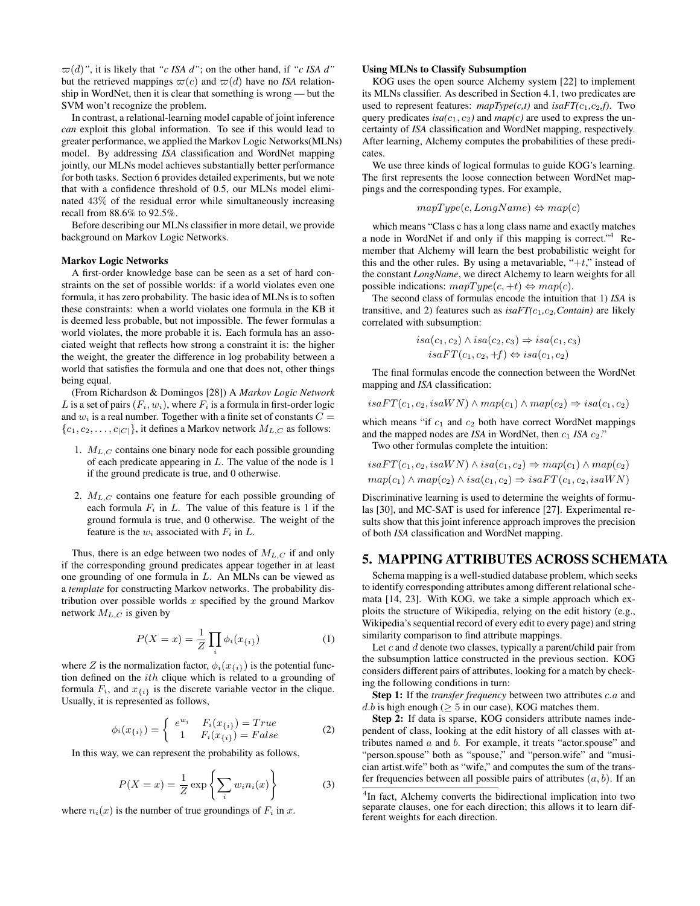$\varpi(d)$ ", it is likely that "c ISA d"; on the other hand, if "c ISA d" but the retrieved mappings  $\varpi(c)$  and  $\varpi(d)$  have no *ISA* relationship in WordNet, then it is clear that something is wrong — but the SVM won't recognize the problem.

In contrast, a relational-learning model capable of joint inference *can* exploit this global information. To see if this would lead to greater performance, we applied the Markov Logic Networks(MLNs) model. By addressing *ISA* classification and WordNet mapping jointly, our MLNs model achieves substantially better performance for both tasks. Section 6 provides detailed experiments, but we note that with a confidence threshold of 0.5, our MLNs model eliminated 43% of the residual error while simultaneously increasing recall from 88.6% to 92.5%.

Before describing our MLNs classifier in more detail, we provide background on Markov Logic Networks.

#### Markov Logic Networks

A first-order knowledge base can be seen as a set of hard constraints on the set of possible worlds: if a world violates even one formula, it has zero probability. The basic idea of MLNs is to soften these constraints: when a world violates one formula in the KB it is deemed less probable, but not impossible. The fewer formulas a world violates, the more probable it is. Each formula has an associated weight that reflects how strong a constraint it is: the higher the weight, the greater the difference in log probability between a world that satisfies the formula and one that does not, other things being equal.

(From Richardson & Domingos [28]) A *Markov Logic Network* L is a set of pairs  $(F_i, w_i)$ , where  $F_i$  is a formula in first-order logic and  $w_i$  is a real number. Together with a finite set of constants  $C =$  ${c_1, c_2, \ldots, c_{|C|}}$ , it defines a Markov network  $M_{L,C}$  as follows:

- 1.  $M_{L,C}$  contains one binary node for each possible grounding of each predicate appearing in  $L$ . The value of the node is 1 if the ground predicate is true, and 0 otherwise.
- 2.  $M_{L,C}$  contains one feature for each possible grounding of each formula  $F_i$  in  $L$ . The value of this feature is 1 if the ground formula is true, and 0 otherwise. The weight of the feature is the  $w_i$  associated with  $F_i$  in  $L$ .

Thus, there is an edge between two nodes of  $M_{L,C}$  if and only if the corresponding ground predicates appear together in at least one grounding of one formula in L. An MLNs can be viewed as a *template* for constructing Markov networks. The probability distribution over possible worlds  $x$  specified by the ground Markov network  $M_{L,C}$  is given by

$$
P(X = x) = \frac{1}{Z} \prod_{i} \phi_i(x_{\{i\}})
$$
 (1)

where Z is the normalization factor,  $\phi_i(x_{\{i\}})$  is the potential function defined on the ith clique which is related to a grounding of formula  $F_i$ , and  $x_{\{i\}}$  is the discrete variable vector in the clique. Usually, it is represented as follows,

$$
\phi_i(x_{\{i\}}) = \begin{cases} e^{w_i} & F_i(x_{\{i\}}) = True \\ 1 & F_i(x_{\{i\}}) = False \end{cases}
$$
 (2)

In this way, we can represent the probability as follows,

$$
P(X = x) = \frac{1}{Z} \exp\left\{\sum_{i} w_i n_i(x)\right\}
$$
 (3)

where  $n_i(x)$  is the number of true groundings of  $F_i$  in x.

#### Using MLNs to Classify Subsumption

KOG uses the open source Alchemy system [22] to implement its MLNs classifier. As described in Section 4.1, two predicates are used to represent features:  $mapType(c,t)$  and  $isaFT(c_1, c_2, f)$ . Two query predicates  $isa(c_1, c_2)$  and  $map(c)$  are used to express the uncertainty of *ISA* classification and WordNet mapping, respectively. After learning, Alchemy computes the probabilities of these predicates.

We use three kinds of logical formulas to guide KOG's learning. The first represents the loose connection between WordNet mappings and the corresponding types. For example,

$$
mapType(c, LongName) \Leftrightarrow map(c)
$$

which means "Class c has a long class name and exactly matches a node in WordNet if and only if this mapping is correct."<sup>4</sup> Remember that Alchemy will learn the best probabilistic weight for this and the other rules. By using a metavariable, " $+t$ ," instead of the constant *LongName*, we direct Alchemy to learn weights for all possible indications:  $mapType(c, +t) \Leftrightarrow map(c)$ .

The second class of formulas encode the intuition that 1) *ISA* is transitive, and 2) features such as  $isaFT(c_1, c_2, Contain)$  are likely correlated with subsumption:

$$
isa(c_1, c_2) \land isa(c_2, c_3) \Rightarrow isa(c_1, c_3)
$$

$$
isaFT(c_1, c_2, +f) \Leftrightarrow isa(c_1, c_2)
$$

The final formulas encode the connection between the WordNet mapping and *ISA* classification:

$$
is a FT(c_1, c_2, is a WN) \land map(c_1) \land map(c_2) \Rightarrow is a(c_1, c_2)
$$

which means "if  $c_1$  and  $c_2$  both have correct WordNet mappings and the mapped nodes are *ISA* in WordNet, then  $c_1$  *ISA*  $c_2$ ."

Two other formulas complete the intuition:

$$
is a FT(c_1, c_2, is a WN) \land is a(c_1, c_2) \Rightarrow map(c_1) \land map(c_2)
$$
  

$$
map(c_1) \land map(c_2) \land is a(c_1, c_2) \Rightarrow is a FT(c_1, c_2, is a WN)
$$

Discriminative learning is used to determine the weights of formulas [30], and MC-SAT is used for inference [27]. Experimental results show that this joint inference approach improves the precision of both *ISA* classification and WordNet mapping.

# 5. MAPPING ATTRIBUTES ACROSS SCHEMATA

Schema mapping is a well-studied database problem, which seeks to identify corresponding attributes among different relational schemata [14, 23]. With KOG, we take a simple approach which exploits the structure of Wikipedia, relying on the edit history (e.g., Wikipedia's sequential record of every edit to every page) and string similarity comparison to find attribute mappings.

Let  $c$  and  $d$  denote two classes, typically a parent/child pair from the subsumption lattice constructed in the previous section. KOG considers different pairs of attributes, looking for a match by checking the following conditions in turn:

Step 1: If the *transfer frequency* between two attributes c.a and d.b is high enough ( $> 5$  in our case), KOG matches them.

Step 2: If data is sparse, KOG considers attribute names independent of class, looking at the edit history of all classes with attributes named  $a$  and  $b$ . For example, it treats "actor.spouse" and "person.spouse" both as "spouse," and "person.wife" and "musician artist.wife" both as "wife," and computes the sum of the transfer frequencies between all possible pairs of attributes  $(a, b)$ . If an

<sup>&</sup>lt;sup>4</sup>In fact, Alchemy converts the bidirectional implication into two separate clauses, one for each direction; this allows it to learn different weights for each direction.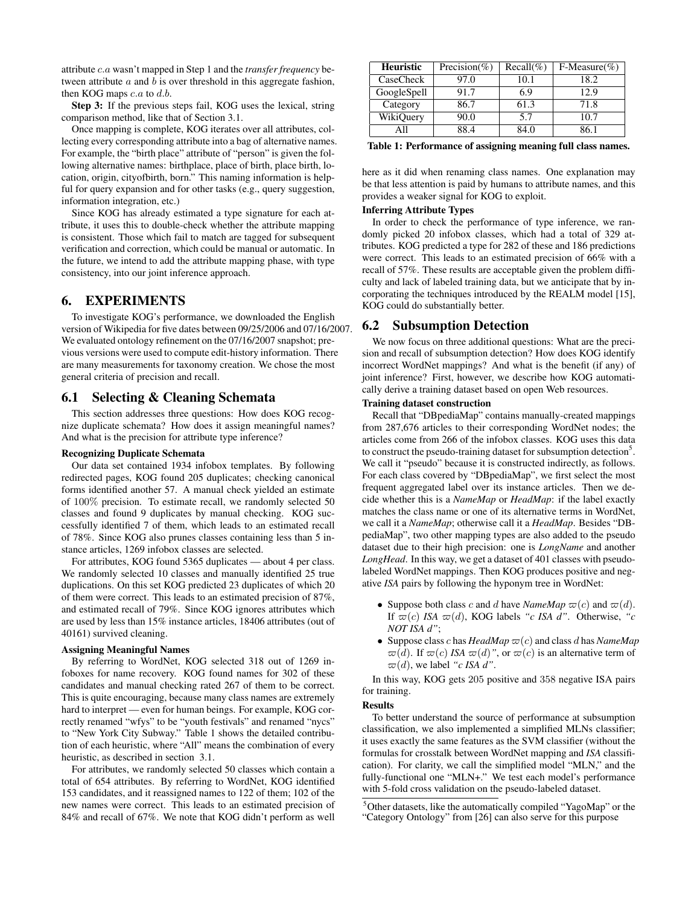attribute c.a wasn't mapped in Step 1 and the *transfer frequency* between attribute  $a$  and  $b$  is over threshold in this aggregate fashion, then KOG maps  $c.a$  to  $d.b.$ 

Step 3: If the previous steps fail, KOG uses the lexical, string comparison method, like that of Section 3.1.

Once mapping is complete, KOG iterates over all attributes, collecting every corresponding attribute into a bag of alternative names. For example, the "birth place" attribute of "person" is given the following alternative names: birthplace, place of birth, place birth, location, origin, cityofbirth, born." This naming information is helpful for query expansion and for other tasks (e.g., query suggestion, information integration, etc.)

Since KOG has already estimated a type signature for each attribute, it uses this to double-check whether the attribute mapping is consistent. Those which fail to match are tagged for subsequent verification and correction, which could be manual or automatic. In the future, we intend to add the attribute mapping phase, with type consistency, into our joint inference approach.

# 6. EXPERIMENTS

To investigate KOG's performance, we downloaded the English version of Wikipedia for five dates between 09/25/2006 and 07/16/2007. We evaluated ontology refinement on the 07/16/2007 snapshot; previous versions were used to compute edit-history information. There are many measurements for taxonomy creation. We chose the most general criteria of precision and recall.

## 6.1 Selecting & Cleaning Schemata

This section addresses three questions: How does KOG recognize duplicate schemata? How does it assign meaningful names? And what is the precision for attribute type inference?

#### Recognizing Duplicate Schemata

Our data set contained 1934 infobox templates. By following redirected pages, KOG found 205 duplicates; checking canonical forms identified another 57. A manual check yielded an estimate of 100% precision. To estimate recall, we randomly selected 50 classes and found 9 duplicates by manual checking. KOG successfully identified 7 of them, which leads to an estimated recall of 78%. Since KOG also prunes classes containing less than 5 instance articles, 1269 infobox classes are selected.

For attributes, KOG found 5365 duplicates — about 4 per class. We randomly selected 10 classes and manually identified 25 true duplications. On this set KOG predicted 23 duplicates of which 20 of them were correct. This leads to an estimated precision of 87%, and estimated recall of 79%. Since KOG ignores attributes which are used by less than 15% instance articles, 18406 attributes (out of 40161) survived cleaning.

#### Assigning Meaningful Names

By referring to WordNet, KOG selected 318 out of 1269 infoboxes for name recovery. KOG found names for 302 of these candidates and manual checking rated 267 of them to be correct. This is quite encouraging, because many class names are extremely hard to interpret — even for human beings. For example, KOG correctly renamed "wfys" to be "youth festivals" and renamed "nycs" to "New York City Subway." Table 1 shows the detailed contribution of each heuristic, where "All" means the combination of every heuristic, as described in section 3.1.

For attributes, we randomly selected 50 classes which contain a total of 654 attributes. By referring to WordNet, KOG identified 153 candidates, and it reassigned names to 122 of them; 102 of the new names were correct. This leads to an estimated precision of 84% and recall of 67%. We note that KOG didn't perform as well

| <b>Heuristic</b> | Precision(%) | $Recall(\%)$ | $F-Measure(\%)$ |
|------------------|--------------|--------------|-----------------|
| CaseCheck        | 97.0         | 10.1         | 18.2            |
| GoogleSpell      | 91.7         | 6.9          | 12.9            |
| Category         | 86.7         | 61.3         | 71.8            |
| WikiQuery        | 90.0         | 5.7          | 10.7            |
|                  | 88 4         | 84 O         | 86 1            |

Table 1: Performance of assigning meaning full class names.

here as it did when renaming class names. One explanation may be that less attention is paid by humans to attribute names, and this provides a weaker signal for KOG to exploit.

#### Inferring Attribute Types

In order to check the performance of type inference, we randomly picked 20 infobox classes, which had a total of 329 attributes. KOG predicted a type for 282 of these and 186 predictions were correct. This leads to an estimated precision of 66% with a recall of 57%. These results are acceptable given the problem difficulty and lack of labeled training data, but we anticipate that by incorporating the techniques introduced by the REALM model [15], KOG could do substantially better.

#### 6.2 Subsumption Detection

We now focus on three additional questions: What are the precision and recall of subsumption detection? How does KOG identify incorrect WordNet mappings? And what is the benefit (if any) of joint inference? First, however, we describe how KOG automatically derive a training dataset based on open Web resources.

#### Training dataset construction

Recall that "DBpediaMap" contains manually-created mappings from 287,676 articles to their corresponding WordNet nodes; the articles come from 266 of the infobox classes. KOG uses this data to construct the pseudo-training dataset for subsumption detection<sup>5</sup>. We call it "pseudo" because it is constructed indirectly, as follows. For each class covered by "DBpediaMap", we first select the most frequent aggregated label over its instance articles. Then we decide whether this is a *NameMap* or *HeadMap*: if the label exactly matches the class name or one of its alternative terms in WordNet, we call it a *NameMap*; otherwise call it a *HeadMap*. Besides "DBpediaMap", two other mapping types are also added to the pseudo dataset due to their high precision: one is *LongName* and another *LongHead*. In this way, we get a dataset of 401 classes with pseudolabeled WordNet mappings. Then KOG produces positive and negative *ISA* pairs by following the hyponym tree in WordNet:

- Suppose both class c and d have *NameMap*  $\varpi(c)$  and  $\varpi(d)$ . If  $\varpi(c)$  *ISA*  $\varpi(d)$ , KOG labels "c *ISA d*". Otherwise, "c *NOT ISA d"*;
- Suppose class c has  $HeadMap \varpi(c)$  and class d has *NameMap*  $\varpi(d)$ . If  $\varpi(c)$  *ISA*  $\varpi(d)$ ", or  $\varpi(c)$  is an alternative term of  $\varpi(d)$ , we label "c ISA d".

In this way, KOG gets 205 positive and 358 negative ISA pairs for training.

#### Results

To better understand the source of performance at subsumption classification, we also implemented a simplified MLNs classifier; it uses exactly the same features as the SVM classifier (without the formulas for crosstalk between WordNet mapping and *ISA* classification). For clarity, we call the simplified model "MLN," and the fully-functional one "MLN+." We test each model's performance with 5-fold cross validation on the pseudo-labeled dataset.

<sup>5</sup>Other datasets, like the automatically compiled "YagoMap" or the "Category Ontology" from [26] can also serve for this purpose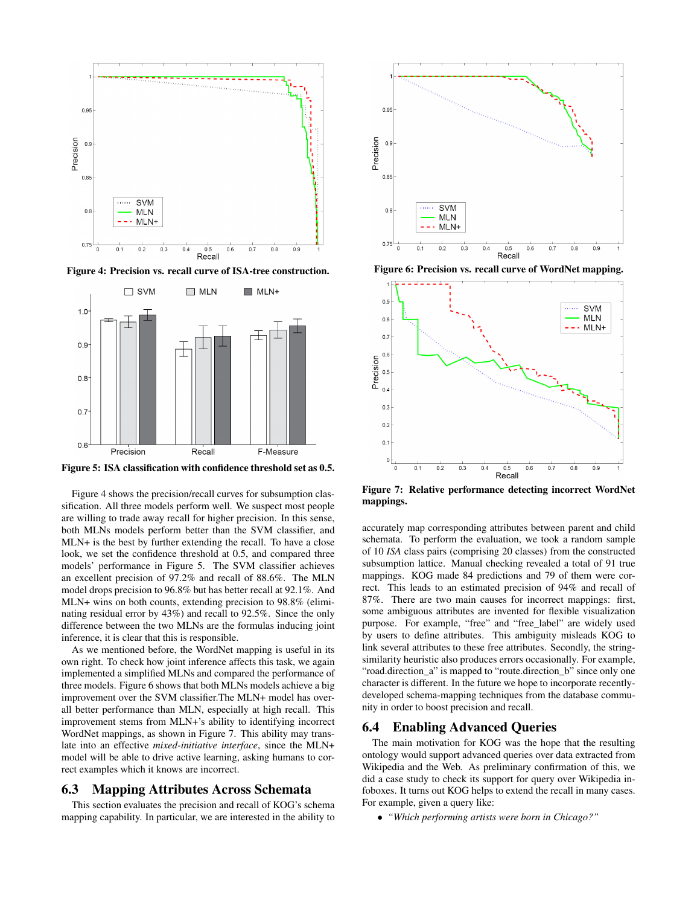

Figure 4: Precision vs. recall curve of ISA-tree construction.



Figure 5: ISA classification with confidence threshold set as 0.5.

Figure 4 shows the precision/recall curves for subsumption classification. All three models perform well. We suspect most people are willing to trade away recall for higher precision. In this sense, both MLNs models perform better than the SVM classifier, and MLN+ is the best by further extending the recall. To have a close look, we set the confidence threshold at 0.5, and compared three models' performance in Figure 5. The SVM classifier achieves an excellent precision of 97.2% and recall of 88.6%. The MLN model drops precision to 96.8% but has better recall at 92.1%. And MLN+ wins on both counts, extending precision to 98.8% (eliminating residual error by 43%) and recall to 92.5%. Since the only difference between the two MLNs are the formulas inducing joint inference, it is clear that this is responsible.

As we mentioned before, the WordNet mapping is useful in its own right. To check how joint inference affects this task, we again implemented a simplified MLNs and compared the performance of three models. Figure 6 shows that both MLNs models achieve a big improvement over the SVM classifier.The MLN+ model has overall better performance than MLN, especially at high recall. This improvement stems from MLN+'s ability to identifying incorrect WordNet mappings, as shown in Figure 7. This ability may translate into an effective *mixed-initiative interface*, since the MLN+ model will be able to drive active learning, asking humans to correct examples which it knows are incorrect.

#### 6.3 Mapping Attributes Across Schemata

This section evaluates the precision and recall of KOG's schema mapping capability. In particular, we are interested in the ability to



Figure 6: Precision vs. recall curve of WordNet mapping.



Figure 7: Relative performance detecting incorrect WordNet mappings.

accurately map corresponding attributes between parent and child schemata. To perform the evaluation, we took a random sample of 10 *ISA* class pairs (comprising 20 classes) from the constructed subsumption lattice. Manual checking revealed a total of 91 true mappings. KOG made 84 predictions and 79 of them were correct. This leads to an estimated precision of 94% and recall of 87%. There are two main causes for incorrect mappings: first, some ambiguous attributes are invented for flexible visualization purpose. For example, "free" and "free\_label" are widely used by users to define attributes. This ambiguity misleads KOG to link several attributes to these free attributes. Secondly, the stringsimilarity heuristic also produces errors occasionally. For example, "road.direction\_a" is mapped to "route.direction\_b" since only one character is different. In the future we hope to incorporate recentlydeveloped schema-mapping techniques from the database community in order to boost precision and recall.

#### 6.4 Enabling Advanced Queries

The main motivation for KOG was the hope that the resulting ontology would support advanced queries over data extracted from Wikipedia and the Web. As preliminary confirmation of this, we did a case study to check its support for query over Wikipedia infoboxes. It turns out KOG helps to extend the recall in many cases. For example, given a query like:

• *"Which performing artists were born in Chicago?"*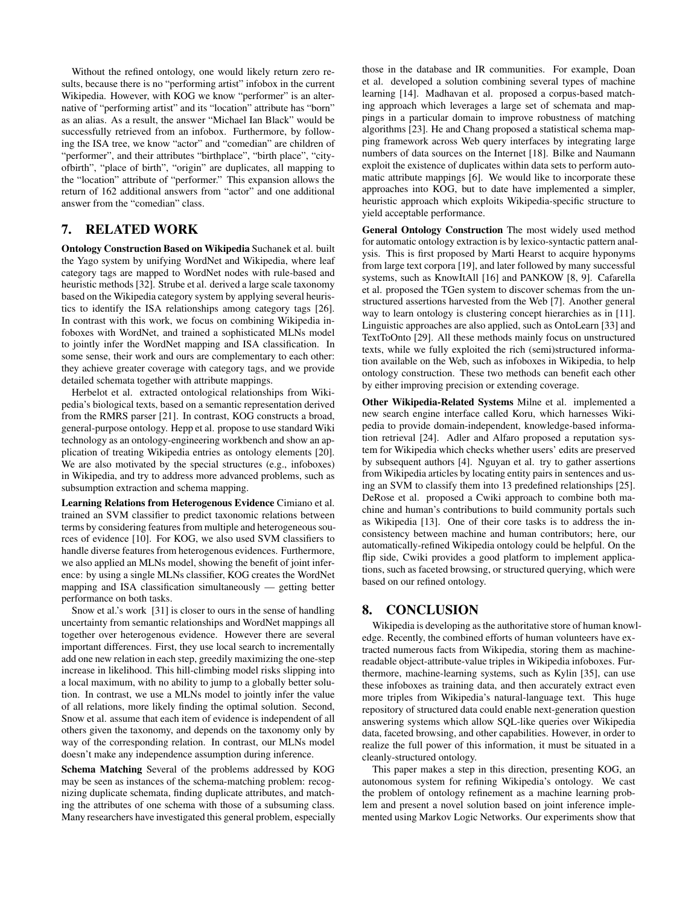Without the refined ontology, one would likely return zero results, because there is no "performing artist" infobox in the current Wikipedia. However, with KOG we know "performer" is an alternative of "performing artist" and its "location" attribute has "born" as an alias. As a result, the answer "Michael Ian Black" would be successfully retrieved from an infobox. Furthermore, by following the ISA tree, we know "actor" and "comedian" are children of "performer", and their attributes "birthplace", "birth place", "cityofbirth", "place of birth", "origin" are duplicates, all mapping to the "location" attribute of "performer." This expansion allows the return of 162 additional answers from "actor" and one additional answer from the "comedian" class.

# 7. RELATED WORK

Ontology Construction Based on Wikipedia Suchanek et al. built the Yago system by unifying WordNet and Wikipedia, where leaf category tags are mapped to WordNet nodes with rule-based and heuristic methods [32]. Strube et al. derived a large scale taxonomy based on the Wikipedia category system by applying several heuristics to identify the ISA relationships among category tags [26]. In contrast with this work, we focus on combining Wikipedia infoboxes with WordNet, and trained a sophisticated MLNs model to jointly infer the WordNet mapping and ISA classification. In some sense, their work and ours are complementary to each other: they achieve greater coverage with category tags, and we provide detailed schemata together with attribute mappings.

Herbelot et al. extracted ontological relationships from Wikipedia's biological texts, based on a semantic representation derived from the RMRS parser [21]. In contrast, KOG constructs a broad, general-purpose ontology. Hepp et al. propose to use standard Wiki technology as an ontology-engineering workbench and show an application of treating Wikipedia entries as ontology elements [20]. We are also motivated by the special structures (e.g., infoboxes) in Wikipedia, and try to address more advanced problems, such as subsumption extraction and schema mapping.

Learning Relations from Heterogenous Evidence Cimiano et al. trained an SVM classifier to predict taxonomic relations between terms by considering features from multiple and heterogeneous sources of evidence [10]. For KOG, we also used SVM classifiers to handle diverse features from heterogenous evidences. Furthermore, we also applied an MLNs model, showing the benefit of joint inference: by using a single MLNs classifier, KOG creates the WordNet mapping and ISA classification simultaneously — getting better performance on both tasks.

Snow et al.'s work [31] is closer to ours in the sense of handling uncertainty from semantic relationships and WordNet mappings all together over heterogenous evidence. However there are several important differences. First, they use local search to incrementally add one new relation in each step, greedily maximizing the one-step increase in likelihood. This hill-climbing model risks slipping into a local maximum, with no ability to jump to a globally better solution. In contrast, we use a MLNs model to jointly infer the value of all relations, more likely finding the optimal solution. Second, Snow et al. assume that each item of evidence is independent of all others given the taxonomy, and depends on the taxonomy only by way of the corresponding relation. In contrast, our MLNs model doesn't make any independence assumption during inference.

Schema Matching Several of the problems addressed by KOG may be seen as instances of the schema-matching problem: recognizing duplicate schemata, finding duplicate attributes, and matching the attributes of one schema with those of a subsuming class. Many researchers have investigated this general problem, especially those in the database and IR communities. For example, Doan et al. developed a solution combining several types of machine learning [14]. Madhavan et al. proposed a corpus-based matching approach which leverages a large set of schemata and mappings in a particular domain to improve robustness of matching algorithms [23]. He and Chang proposed a statistical schema mapping framework across Web query interfaces by integrating large numbers of data sources on the Internet [18]. Bilke and Naumann exploit the existence of duplicates within data sets to perform automatic attribute mappings [6]. We would like to incorporate these approaches into KOG, but to date have implemented a simpler, heuristic approach which exploits Wikipedia-specific structure to yield acceptable performance.

General Ontology Construction The most widely used method for automatic ontology extraction is by lexico-syntactic pattern analysis. This is first proposed by Marti Hearst to acquire hyponyms from large text corpora [19], and later followed by many successful systems, such as KnowItAll [16] and PANKOW [8, 9]. Cafarella et al. proposed the TGen system to discover schemas from the unstructured assertions harvested from the Web [7]. Another general way to learn ontology is clustering concept hierarchies as in [11]. Linguistic approaches are also applied, such as OntoLearn [33] and TextToOnto [29]. All these methods mainly focus on unstructured texts, while we fully exploited the rich (semi)structured information available on the Web, such as infoboxes in Wikipedia, to help ontology construction. These two methods can benefit each other by either improving precision or extending coverage.

Other Wikipedia-Related Systems Milne et al. implemented a new search engine interface called Koru, which harnesses Wikipedia to provide domain-independent, knowledge-based information retrieval [24]. Adler and Alfaro proposed a reputation system for Wikipedia which checks whether users' edits are preserved by subsequent authors [4]. Nguyan et al. try to gather assertions from Wikipedia articles by locating entity pairs in sentences and using an SVM to classify them into 13 predefined relationships [25]. DeRose et al. proposed a Cwiki approach to combine both machine and human's contributions to build community portals such as Wikipedia [13]. One of their core tasks is to address the inconsistency between machine and human contributors; here, our automatically-refined Wikipedia ontology could be helpful. On the flip side, Cwiki provides a good platform to implement applications, such as faceted browsing, or structured querying, which were based on our refined ontology.

# 8. CONCLUSION

Wikipedia is developing as the authoritative store of human knowledge. Recently, the combined efforts of human volunteers have extracted numerous facts from Wikipedia, storing them as machinereadable object-attribute-value triples in Wikipedia infoboxes. Furthermore, machine-learning systems, such as Kylin [35], can use these infoboxes as training data, and then accurately extract even more triples from Wikipedia's natural-language text. This huge repository of structured data could enable next-generation question answering systems which allow SQL-like queries over Wikipedia data, faceted browsing, and other capabilities. However, in order to realize the full power of this information, it must be situated in a cleanly-structured ontology.

This paper makes a step in this direction, presenting KOG, an autonomous system for refining Wikipedia's ontology. We cast the problem of ontology refinement as a machine learning problem and present a novel solution based on joint inference implemented using Markov Logic Networks. Our experiments show that